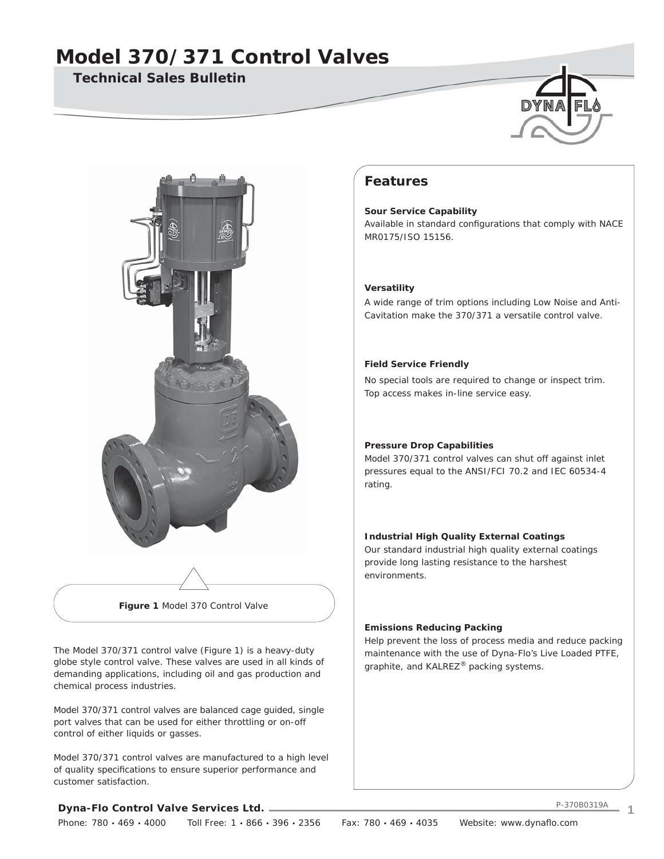## **Technical Sales Bulletin**





**Figure 1** Model 370 Control Valve

The Model 370/371 control valve (Figure 1) is a heavy-duty globe style control valve. These valves are used in all kinds of demanding applications, including oil and gas production and chemical process industries.

Model 370/371 control valves are balanced cage guided, single port valves that can be used for either throttling or on-off control of either liquids or gasses.

Model 370/371 control valves are manufactured to a high level of quality specifications to ensure superior performance and customer satisfaction.

## **Features**

**Sour Service Capability** Available in standard configurations that comply with NACE MR0175/ISO 15156.

#### **Versatility**

A wide range of trim options including Low Noise and Anti-Cavitation make the 370/371 a versatile control valve.

#### **Field Service Friendly**

No special tools are required to change or inspect trim. Top access makes in-line service easy.

#### **Pressure Drop Capabilities**

Model 370/371 control valves can shut off against inlet pressures equal to the ANSI/FCI 70.2 and IEC 60534-4 rating.

#### **Industrial High Quality External Coatings**

Our standard industrial high quality external coatings provide long lasting resistance to the harshest environments.

#### **Emissions Reducing Packing**

Help prevent the loss of process media and reduce packing maintenance with the use of Dyna-Flo's Live Loaded PTFE, graphite, and KALREZ® packing systems.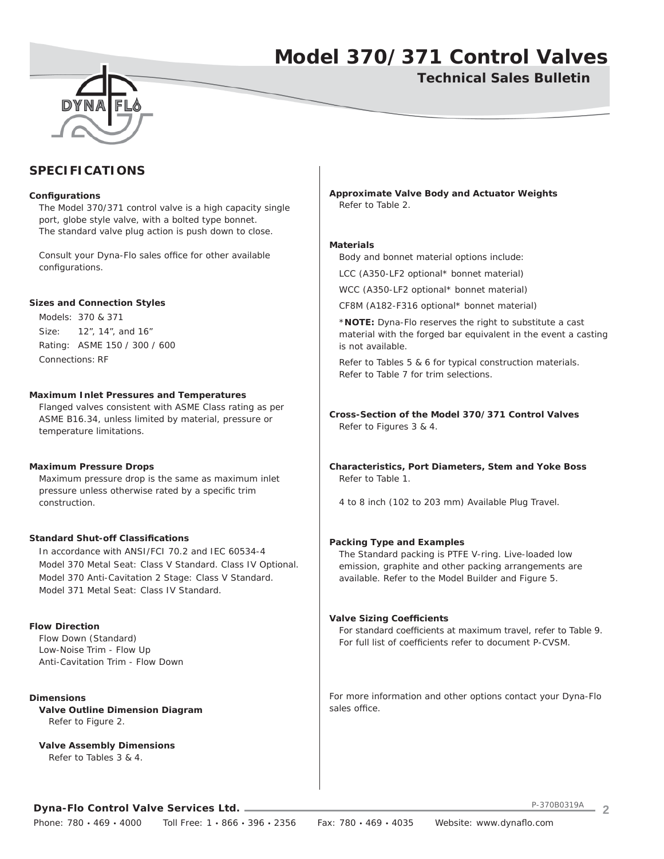**Technical Sales Bulletin**



## **SPECIFICATIONS**

#### **Confi gurations**

 The Model 370/371 control valve is a high capacity single port, globe style valve, with a bolted type bonnet. The standard valve plug action is push down to close.

Consult your Dyna-Flo sales office for other available configurations.

#### **Sizes and Connection Styles**

 Models: 370 & 371 Size: 12", 14", and 16" Rating: ASME 150 / 300 / 600 Connections: RF

#### **Maximum Inlet Pressures and Temperatures**

 Flanged valves consistent with ASME Class rating as per ASME B16.34, unless limited by material, pressure or temperature limitations.

#### **Maximum Pressure Drops**

 Maximum pressure drop is the same as maximum inlet pressure unless otherwise rated by a specific trim construction.

#### **Standard Shut-off Classifi cations**

 In accordance with ANSI/FCI 70.2 and IEC 60534-4 Model 370 Metal Seat: Class V Standard. Class IV Optional. Model 370 Anti-Cavitation 2 Stage: Class V Standard. Model 371 Metal Seat: Class IV Standard.

#### **Flow Direction**

 Flow Down (Standard) Low-Noise Trim - Flow Up Anti-Cavitation Trim - Flow Down

**Dimensions Valve Outline Dimension Diagram** Refer to Figure 2.

**Valve Assembly Dimensions** Refer to Tables 3 & 4.

**Approximate Valve Body and Actuator Weights** Refer to Table 2.

#### **Materials**

Body and bonnet material options include:

LCC (A350-LF2 optional\* bonnet material)

WCC (A350-LF2 optional\* bonnet material)

CF8M (A182-F316 optional\* bonnet material)

 \***NOTE:** Dyna-Flo reserves the right to substitute a cast material with the forged bar equivalent in the event a casting is not available.

 Refer to Tables 5 & 6 for typical construction materials. Refer to Table 7 for trim selections.

**Cross-Section of the Model 370/371 Control Valves** Refer to Figures 3 & 4.

**Characteristics, Port Diameters, Stem and Yoke Boss** Refer to Table 1.

4 to 8 inch (102 to 203 mm) Available Plug Travel.

#### **Packing Type and Examples**

 The Standard packing is PTFE V-ring. Live-loaded low emission, graphite and other packing arrangements are available. Refer to the Model Builder and Figure 5.

#### **Valve Sizing Coefficients**

For standard coefficients at maximum travel, refer to Table 9. For full list of coefficients refer to document P-CVSM.

For more information and other options contact your Dyna-Flo sales office.

**Dyna-Flo Control Valve Services Ltd.**

P-370B0319A **2**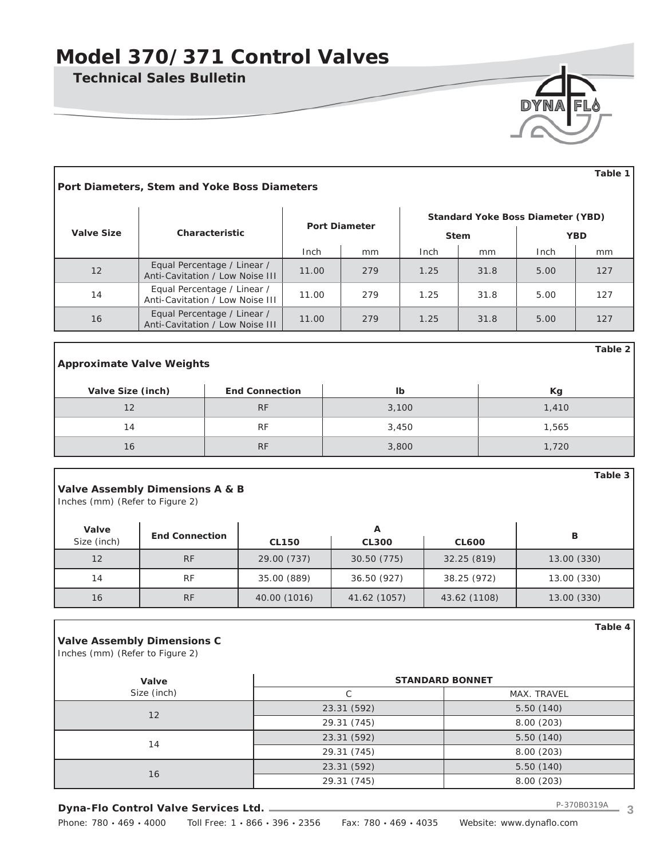**Technical Sales Bulletin**

| DYNA FLY |  |
|----------|--|
|          |  |
|          |  |
|          |  |

**Table 2**

**Table 3**

**Table 4**

| Table 1<br>Port Diameters, Stem and Yoke Boss Diameters |                                                                |                      |     |      |                                                         |             |            |  |  |
|---------------------------------------------------------|----------------------------------------------------------------|----------------------|-----|------|---------------------------------------------------------|-------------|------------|--|--|
| <b>Valve Size</b>                                       | Characteristic                                                 | <b>Port Diameter</b> |     |      | <b>Standard Yoke Boss Diameter (YBD)</b><br><b>Stem</b> |             | <b>YBD</b> |  |  |
|                                                         |                                                                | Inch                 | mm  | Inch | mm                                                      | <b>Inch</b> | mm         |  |  |
| 12                                                      | Equal Percentage / Linear /<br>Anti-Cavitation / Low Noise III | 11.00                | 279 | 1.25 | 31.8                                                    | 5.00        | 127        |  |  |
| 14                                                      | Equal Percentage / Linear /<br>Anti-Cavitation / Low Noise III | 11.00                | 279 | 1.25 | 31.8                                                    | 5.00        | 127        |  |  |
| 16                                                      | Equal Percentage / Linear /<br>Anti-Cavitation / Low Noise III | 11.00                | 279 | 1.25 | 31.8                                                    | 5.00        | 127        |  |  |

### **Approximate Valve Weights**

| Valve Size (inch) | <b>End Connection</b> | Ib    | Kg    |
|-------------------|-----------------------|-------|-------|
|                   | RF                    | 3,100 | 1,410 |
|                   | RF                    | 3,450 | 1,565 |
| 16                | RF                    | 3,800 | 1,720 |

### **Valve Assembly Dimensions A & B**

Inches (mm) (Refer to Figure 2)

| Valve       |                       |              |              |              |             |
|-------------|-----------------------|--------------|--------------|--------------|-------------|
| Size (inch) | <b>End Connection</b> | <b>CL150</b> | <b>CL300</b> | <b>CL600</b> | в           |
| 12          | <b>RF</b>             | 29.00 (737)  | 30.50 (775)  | 32.25 (819)  | 13.00 (330) |
| 14          | <b>RF</b>             | 35.00 (889)  | 36.50 (927)  | 38.25 (972)  | 13.00 (330) |
| 16          | <b>RF</b>             | 40.00 (1016) | 41.62 (1057) | 43.62 (1108) | 13.00 (330) |

### **Valve Assembly Dimensions C**

Inches (mm) (Refer to Figure 2)

| Valve       | <b>STANDARD BONNET</b> |             |  |  |  |  |
|-------------|------------------------|-------------|--|--|--|--|
| Size (inch) | С                      | MAX. TRAVEL |  |  |  |  |
| 12          | 23.31 (592)            | 5.50(140)   |  |  |  |  |
|             | 29.31 (745)            | 8.00(203)   |  |  |  |  |
|             | 23.31 (592)            | 5.50(140)   |  |  |  |  |
| 14          | 29.31 (745)            | 8.00(203)   |  |  |  |  |
|             | 23.31 (592)            | 5.50(140)   |  |  |  |  |
| 16          | 29.31 (745)            | 8.00(203)   |  |  |  |  |

### **Dyna-Flo Control Valve Services Ltd.**

Phone: 780 · 469 · 4000 Toll Free: 1 · 866 · 396 · 2356 Fax: 780 · 469 · 4035 Website: www.dynaflo.com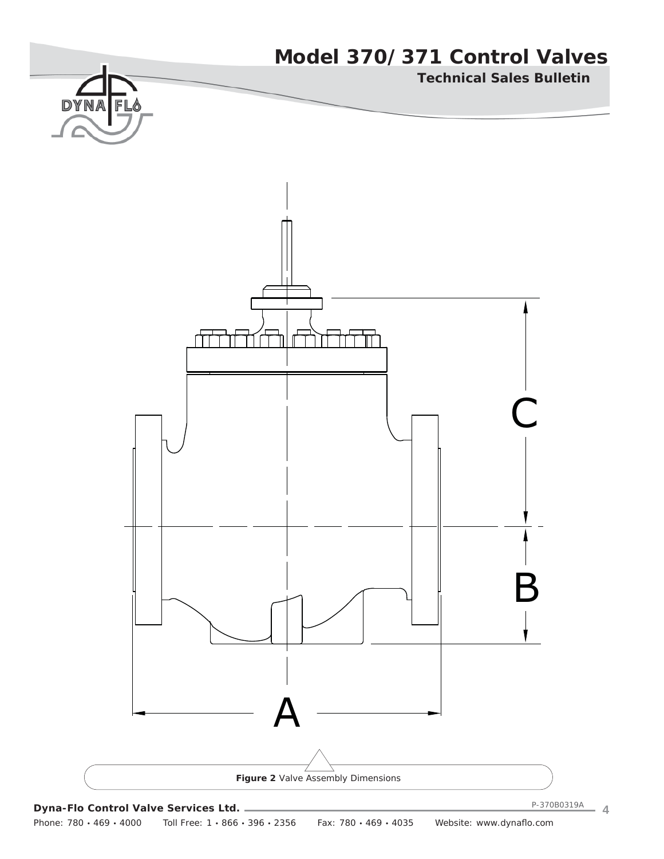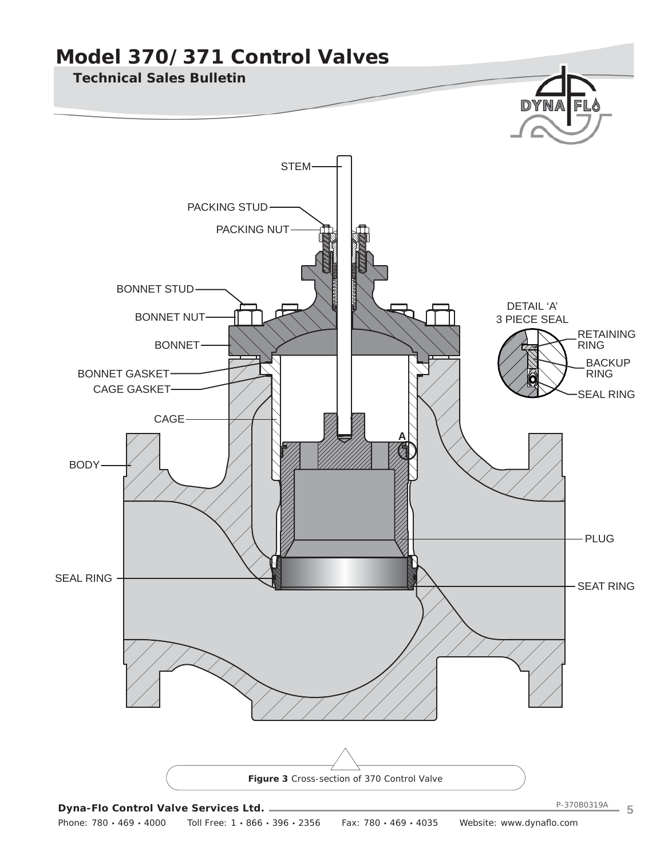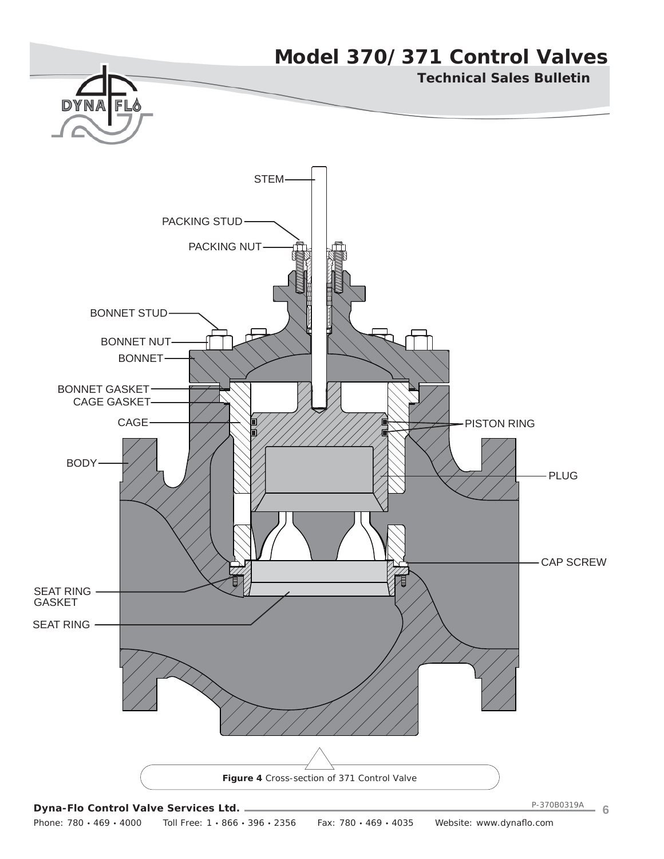

Phone: 780 · 469 · 4000 Toll Free: 1 · 866 · 396 · 2356 Fax: 780 · 469 · 4035 Website: www.dynaflo.com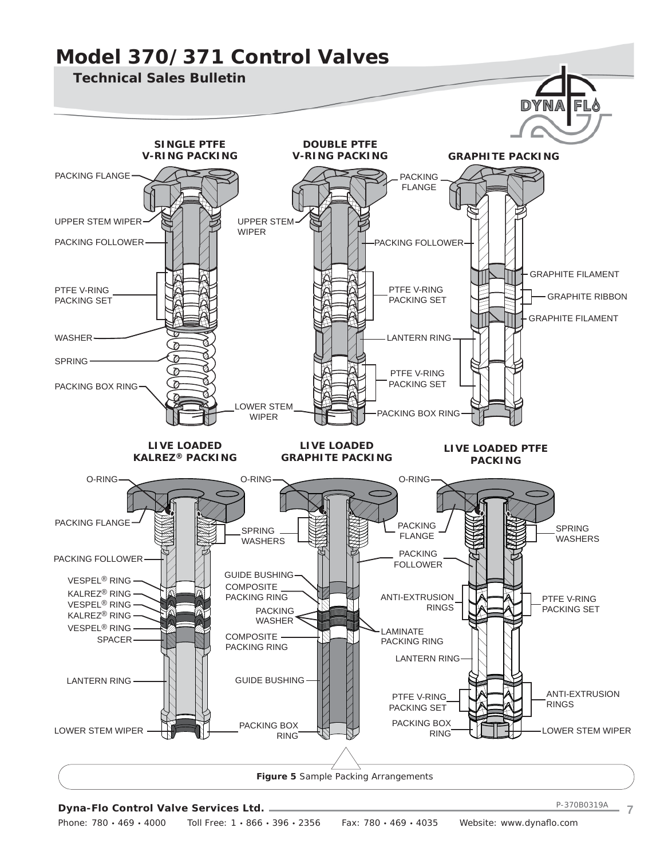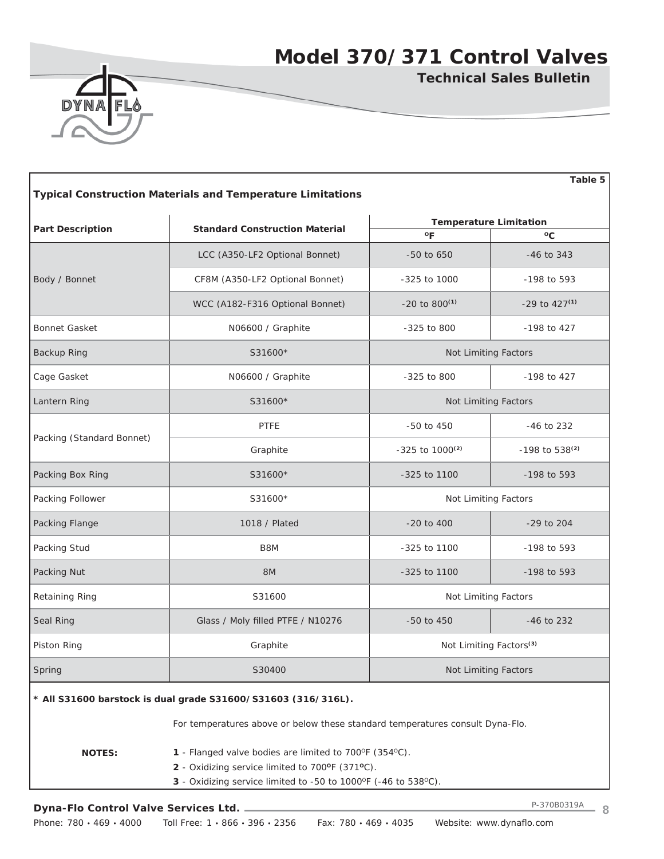

**Technical Sales Bulletin**

| Table 5<br><b>Typical Construction Materials and Temperature Limitations</b> |                                                                               |                                               |                            |  |  |  |  |  |  |
|------------------------------------------------------------------------------|-------------------------------------------------------------------------------|-----------------------------------------------|----------------------------|--|--|--|--|--|--|
| <b>Part Description</b>                                                      | <b>Standard Construction Material</b>                                         | <b>Temperature Limitation</b><br>$^{\circ}$ F | °C                         |  |  |  |  |  |  |
|                                                                              |                                                                               |                                               |                            |  |  |  |  |  |  |
|                                                                              | LCC (A350-LF2 Optional Bonnet)                                                | $-50$ to 650                                  | $-46$ to 343               |  |  |  |  |  |  |
| Body / Bonnet                                                                | CF8M (A350-LF2 Optional Bonnet)                                               | $-325$ to 1000                                | -198 to 593                |  |  |  |  |  |  |
|                                                                              | WCC (A182-F316 Optional Bonnet)                                               | $-20$ to $800^{(1)}$                          | $-29$ to $427^{(1)}$       |  |  |  |  |  |  |
| <b>Bonnet Gasket</b>                                                         | N06600 / Graphite                                                             | $-325$ to 800                                 | -198 to 427                |  |  |  |  |  |  |
| <b>Backup Ring</b>                                                           | S31600*                                                                       | Not Limiting Factors                          |                            |  |  |  |  |  |  |
| Cage Gasket                                                                  | N06600 / Graphite                                                             | $-325$ to 800                                 | -198 to 427                |  |  |  |  |  |  |
| Lantern Ring                                                                 | S31600*                                                                       | Not Limiting Factors                          |                            |  |  |  |  |  |  |
|                                                                              | <b>PTFE</b>                                                                   | -50 to 450                                    | $-46$ to 232               |  |  |  |  |  |  |
| Packing (Standard Bonnet)                                                    | Graphite                                                                      | $-325$ to $1000^{(2)}$                        | -198 to 538 <sup>(2)</sup> |  |  |  |  |  |  |
| Packing Box Ring                                                             | S31600*                                                                       | -325 to 1100                                  | $-198$ to 593              |  |  |  |  |  |  |
| Packing Follower                                                             | S31600*                                                                       | Not Limiting Factors                          |                            |  |  |  |  |  |  |
| Packing Flange                                                               | 1018 / Plated                                                                 | $-20$ to $400$<br>$-29$ to $204$              |                            |  |  |  |  |  |  |
| Packing Stud                                                                 | B8M                                                                           | $-325$ to 1100                                | -198 to 593                |  |  |  |  |  |  |
| Packing Nut                                                                  | 8M                                                                            | -325 to 1100                                  | -198 to 593                |  |  |  |  |  |  |
| Retaining Ring                                                               | S31600                                                                        | Not Limiting Factors                          |                            |  |  |  |  |  |  |
| Seal Ring                                                                    | Glass / Moly filled PTFE / N10276                                             | $-50$ to $450$                                | $-46$ to 232               |  |  |  |  |  |  |
| Piston Ring                                                                  | Graphite                                                                      | Not Limiting Factors <sup>(3)</sup>           |                            |  |  |  |  |  |  |
| Spring                                                                       | S30400                                                                        | Not Limiting Factors                          |                            |  |  |  |  |  |  |
|                                                                              | * All S31600 barstock is dual grade S31600/S31603 (316/316L).                 |                                               |                            |  |  |  |  |  |  |
|                                                                              | For temperatures above or below these standard temperatures consult Dyna-Flo. |                                               |                            |  |  |  |  |  |  |
| <b>NOTES:</b>                                                                | 1 - Flanged valve bodies are limited to 700°F (354°C).                        |                                               |                            |  |  |  |  |  |  |
|                                                                              | 2 - Oxidizing service limited to 700°F (371°C).                               |                                               |                            |  |  |  |  |  |  |
|                                                                              | 3 - Oxidizing service limited to -50 to 1000°F (-46 to 538°C).                |                                               |                            |  |  |  |  |  |  |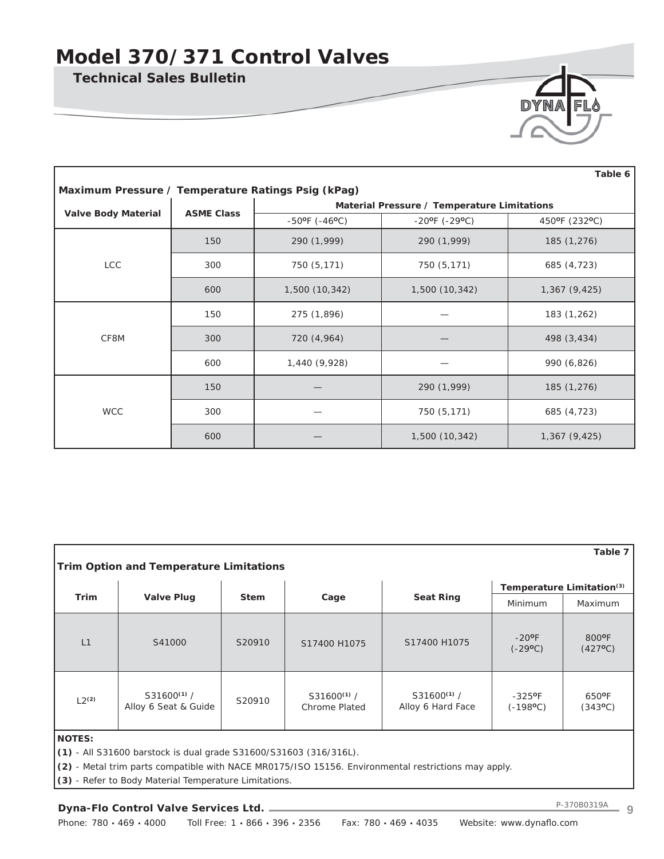**Technical Sales Bulletin**



| Table 6                                            |                   |                                    |                                             |               |  |  |  |  |  |
|----------------------------------------------------|-------------------|------------------------------------|---------------------------------------------|---------------|--|--|--|--|--|
| Maximum Pressure / Temperature Ratings Psig (kPag) |                   |                                    |                                             |               |  |  |  |  |  |
|                                                    | <b>ASME Class</b> |                                    | Material Pressure / Temperature Limitations |               |  |  |  |  |  |
| <b>Valve Body Material</b>                         |                   | $-50^{\circ}$ F ( $-46^{\circ}$ C) | $-20^{\circ}$ F ( $-29^{\circ}$ C)          | 450°F (232°C) |  |  |  |  |  |
|                                                    | 150               | 290 (1,999)                        | 290 (1,999)                                 | 185 (1,276)   |  |  |  |  |  |
| <b>LCC</b>                                         | 300               | 750 (5,171)                        | 750 (5,171)                                 | 685 (4,723)   |  |  |  |  |  |
|                                                    | 600               | 1,500 (10,342)                     | 1,500 (10,342)                              | 1,367(9,425)  |  |  |  |  |  |
|                                                    | 150               | 275 (1,896)                        |                                             | 183 (1,262)   |  |  |  |  |  |
| CF8M                                               | 300               | 720 (4,964)                        |                                             | 498 (3,434)   |  |  |  |  |  |
|                                                    | 600               | 1,440 (9,928)                      |                                             | 990 (6,826)   |  |  |  |  |  |
|                                                    | 150               |                                    | 290 (1,999)                                 | 185 (1,276)   |  |  |  |  |  |
| <b>WCC</b>                                         | 300               |                                    | 750 (5,171)                                 | 685 (4,723)   |  |  |  |  |  |
|                                                    | 600               |                                    | 1,500 (10,342)                              | 1,367(9,425)  |  |  |  |  |  |

| Table 7<br><b>Trim Option and Temperature Limitations</b> |                                                                   |                           |                                         |                                                                                                     |                                          |                           |  |  |
|-----------------------------------------------------------|-------------------------------------------------------------------|---------------------------|-----------------------------------------|-----------------------------------------------------------------------------------------------------|------------------------------------------|---------------------------|--|--|
|                                                           |                                                                   | Temperature Limitation(3) |                                         |                                                                                                     |                                          |                           |  |  |
| <b>Trim</b>                                               | <b>Valve Plug</b>                                                 | <b>Stem</b>               | Cage                                    | <b>Seat Ring</b>                                                                                    | Minimum                                  | Maximum                   |  |  |
| L1                                                        | S41000                                                            | S20910                    | S17400 H1075                            | S17400 H1075                                                                                        | $-20$ <sup>o</sup> F<br>$(-29^{\circ}C)$ | 800°F<br>$(427^{\circ}C)$ |  |  |
| $L2^{(2)}$                                                | $S31600^{(1)}/$<br>Alloy 6 Seat & Guide                           | S20910                    | $S31600^{(1)}/$<br><b>Chrome Plated</b> | $S31600^{(1)}/$<br>Alloy 6 Hard Face                                                                | $-325$ °F<br>$(-198$ <sup>o</sup> C)     | 650°F<br>$(343^{\circ}C)$ |  |  |
| <b>NOTES:</b>                                             |                                                                   |                           |                                         |                                                                                                     |                                          |                           |  |  |
|                                                           | (1) - All S31600 barstock is dual grade S31600/S31603 (316/316L). |                           |                                         |                                                                                                     |                                          |                           |  |  |
|                                                           |                                                                   |                           |                                         | (2) - Metal trim parts compatible with NACE MR0175/ISO 15156. Environmental restrictions may apply. |                                          |                           |  |  |
|                                                           | (3) - Refer to Body Material Temperature Limitations.             |                           |                                         |                                                                                                     |                                          |                           |  |  |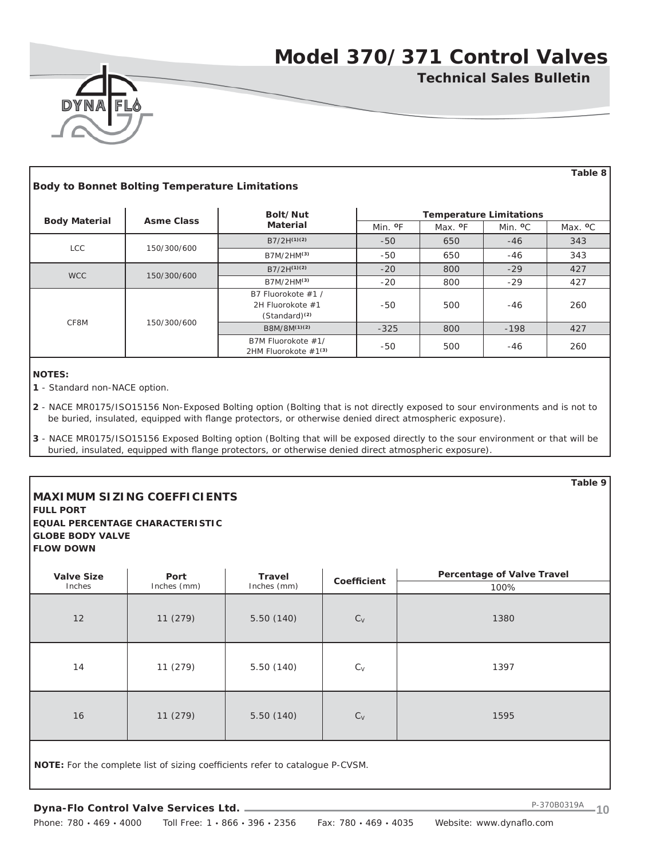**Technical Sales Bulletin**



 **Table 8 Body to Bonnet Bolting Temperature Limitations Body Material Asme Class Bolt/Nut Material Temperature Limitations** Min. **O**F Max. **O**F Min. **O**C Max. **O**C LCC 150/300/600  $B7/2H^{(1)(2)}$  -50 650 -46 343 B7M/2HM<sup>(3)</sup> -50 650 -46 343 WCC 150/300/600 B7/2H<sup>(1)(2)</sup> -20 800 -29 427 B7M/2HM<sup>(3)</sup> -20 800 -29 427 CF8M 150/300/600 B7 Fluorokote #1 / 2H Fluorokote #1 (Standard)**(2)** -50 | 500 | -46 | 260 B8M/8M<sup>(1)(2)</sup> -325 800 -198 427 B7M Fluorokote #1/ 2HM Fluorokote #1<sup>(3)</sup> -50 500 -46 260

**NOTES:**

**1** - Standard non-NACE option.

**2** - NACE MR0175/ISO15156 Non-Exposed Bolting option (Bolting that is not directly exposed to sour environments and is not to be buried, insulated, equipped with flange protectors, or otherwise denied direct atmospheric exposure).

**3** - NACE MR0175/ISO15156 Exposed Bolting option (Bolting that will be exposed directly to the sour environment or that will be buried, insulated, equipped with flange protectors, or otherwise denied direct atmospheric exposure).

## **MAXIMUM SIZING COEFFICIENTS**

**GLOBE BODY VALVE FLOW DOWN**

**FULL PORT EQUAL PERCENTAGE CHARACTERISTIC**

| <b>Valve Size</b><br>Inches | Port<br>Inches (mm) | <b>Travel</b><br>Inches (mm) | Coefficient | <b>Percentage of Valve Travel</b><br>100% |
|-----------------------------|---------------------|------------------------------|-------------|-------------------------------------------|
| 12                          | 11(279)             | 5.50(140)                    | $C_V$       | 1380                                      |
| 14                          | 11 (279)            | 5.50(140)                    | $C_{V}$     | 1397                                      |
| 16                          | 11 (279)            | 5.50(140)                    | $C_V$       | 1595                                      |
|                             |                     |                              |             |                                           |

NOTE: For the complete list of sizing coefficients refer to catalogue P-CVSM.

**Table 9**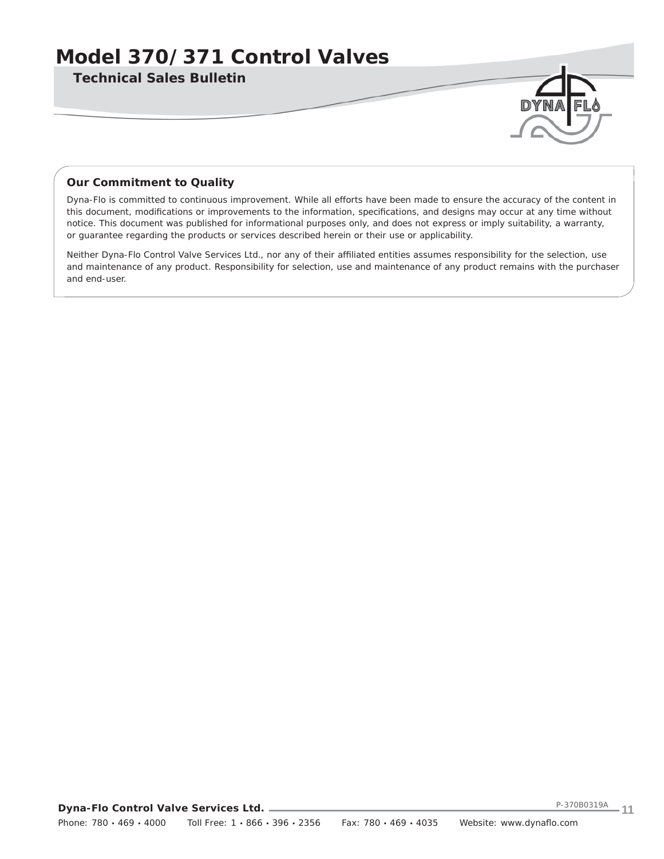**Technical Sales Bulletin**

## *Our Commitment to Quality*

Dyna-Flo is committed to continuous improvement. While all efforts have been made to ensure the accuracy of the content in this document, modifications or improvements to the information, specifications, and designs may occur at any time without notice. This document was published for informational purposes only, and does not express or imply suitability, a warranty, or guarantee regarding the products or services described herein or their use or applicability.

Neither Dyna-Flo Control Valve Services Ltd., nor any of their affiliated entities assumes responsibility for the selection, use and maintenance of any product. Responsibility for selection, use and maintenance of any product remains with the purchaser and end-user.

**Dyna-Flo Control Valve Services Ltd.** Phone: 780 · 469 · 4000 Toll Free: 1 · 866 · 396 · 2356 Fax: 780 · 469 · 4035 Website: www.dynaflo.com